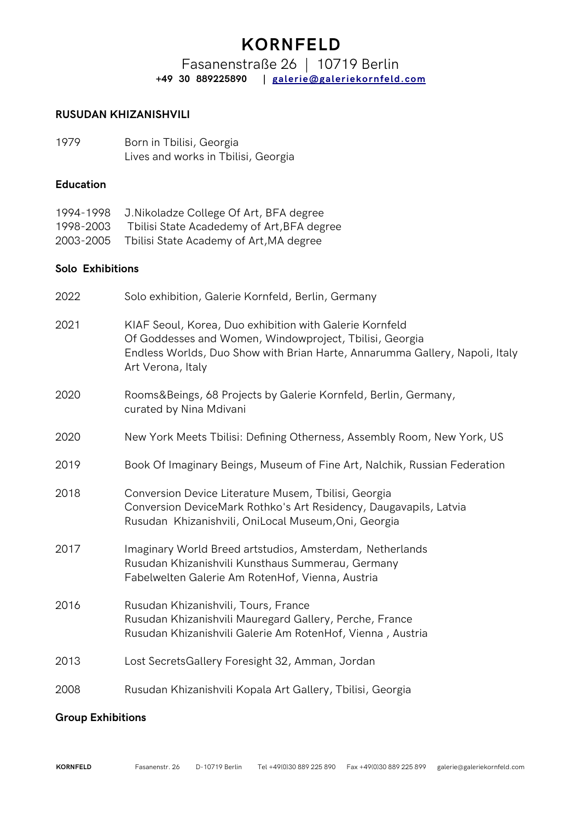## **KORNFELD**

### Fasanenstraße 26 | 10719 Berlin **+49 30 889225890 | [galerie@galeriekornfeld.com](mailto:galerie@galeriekornfeld.com)**

#### **RUSUDAN KHIZANISHVILI**

1979 Born in Tbilisi, Georgia Lives and works in Tbilisi, Georgia

#### **Education**

| 1994-1998 | J. Nikoladze College Of Art, BFA degree    |
|-----------|--------------------------------------------|
| 1998-2003 | Tbilisi State Acadedemy of Art, BFA degree |
| 2003-2005 | Tbilisi State Academy of Art, MA degree    |

#### **Solo Exhibitions**

| 2022 | Solo exhibition, Galerie Kornfeld, Berlin, Germany                                                                                                                                                                     |
|------|------------------------------------------------------------------------------------------------------------------------------------------------------------------------------------------------------------------------|
| 2021 | KIAF Seoul, Korea, Duo exhibition with Galerie Kornfeld<br>Of Goddesses and Women, Windowproject, Tbilisi, Georgia<br>Endless Worlds, Duo Show with Brian Harte, Annarumma Gallery, Napoli, Italy<br>Art Verona, Italy |
| 2020 | Rooms&Beings, 68 Projects by Galerie Kornfeld, Berlin, Germany,<br>curated by Nina Mdivani                                                                                                                             |
| 2020 | New York Meets Tbilisi: Defining Otherness, Assembly Room, New York, US                                                                                                                                                |
| 2019 | Book Of Imaginary Beings, Museum of Fine Art, Nalchik, Russian Federation                                                                                                                                              |
| 2018 | Conversion Device Literature Musem, Tbilisi, Georgia<br>Conversion DeviceMark Rothko's Art Residency, Daugavapils, Latvia<br>Rusudan Khizanishvili, OniLocal Museum, Oni, Georgia                                      |
| 2017 | Imaginary World Breed artstudios, Amsterdam, Netherlands<br>Rusudan Khizanishvili Kunsthaus Summerau, Germany<br>Fabelwelten Galerie Am RotenHof, Vienna, Austria                                                      |
| 2016 | Rusudan Khizanishvili, Tours, France<br>Rusudan Khizanishvili Mauregard Gallery, Perche, France<br>Rusudan Khizanishvili Galerie Am RotenHof, Vienna, Austria                                                          |
| 2013 | Lost SecretsGallery Foresight 32, Amman, Jordan                                                                                                                                                                        |
| 2008 | Rusudan Khizanishvili Kopala Art Gallery, Tbilisi, Georgia                                                                                                                                                             |
|      |                                                                                                                                                                                                                        |

#### **Group Exhibitions**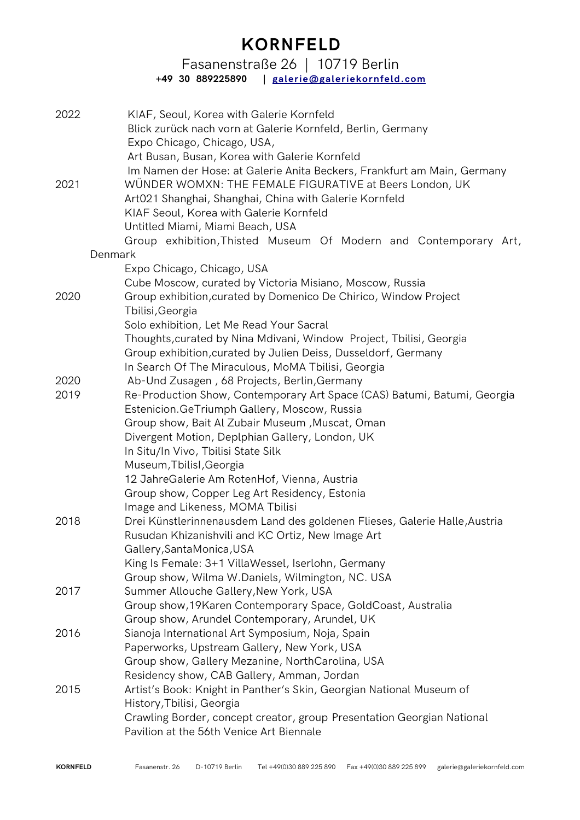# **KORNFELD**

#### Fasanenstraße 26 | 10719 Berlin **+49 30 889225890 | [galerie@galeriekornfeld.com](mailto:galerie@galeriekornfeld.com)**

| 2022<br>2021 | KIAF, Seoul, Korea with Galerie Kornfeld<br>Blick zurück nach vorn at Galerie Kornfeld, Berlin, Germany<br>Expo Chicago, Chicago, USA,<br>Art Busan, Busan, Korea with Galerie Kornfeld<br>Im Namen der Hose: at Galerie Anita Beckers, Frankfurt am Main, Germany<br>WÜNDER WOMXN: THE FEMALE FIGURATIVE at Beers London, UK |
|--------------|-------------------------------------------------------------------------------------------------------------------------------------------------------------------------------------------------------------------------------------------------------------------------------------------------------------------------------|
|              | Art021 Shanghai, Shanghai, China with Galerie Kornfeld<br>KIAF Seoul, Korea with Galerie Kornfeld<br>Untitled Miami, Miami Beach, USA<br>Group exhibition, Thisted Museum Of Modern and Contemporary Art,                                                                                                                     |
|              | Denmark                                                                                                                                                                                                                                                                                                                       |
|              | Expo Chicago, Chicago, USA                                                                                                                                                                                                                                                                                                    |
|              | Cube Moscow, curated by Victoria Misiano, Moscow, Russia                                                                                                                                                                                                                                                                      |
| 2020         | Group exhibition, curated by Domenico De Chirico, Window Project<br>Tbilisi, Georgia                                                                                                                                                                                                                                          |
|              | Solo exhibition, Let Me Read Your Sacral                                                                                                                                                                                                                                                                                      |
|              | Thoughts, curated by Nina Mdivani, Window Project, Tbilisi, Georgia                                                                                                                                                                                                                                                           |
|              | Group exhibition, curated by Julien Deiss, Dusseldorf, Germany                                                                                                                                                                                                                                                                |
|              | In Search Of The Miraculous, MoMA Tbilisi, Georgia                                                                                                                                                                                                                                                                            |
| 2020         | Ab-Und Zusagen, 68 Projects, Berlin, Germany                                                                                                                                                                                                                                                                                  |
| 2019         | Re-Production Show, Contemporary Art Space (CAS) Batumi, Batumi, Georgia<br>Estenicion.GeTriumph Gallery, Moscow, Russia                                                                                                                                                                                                      |
|              | Group show, Bait Al Zubair Museum, Muscat, Oman                                                                                                                                                                                                                                                                               |
|              | Divergent Motion, Deplphian Gallery, London, UK                                                                                                                                                                                                                                                                               |
|              | In Situ/In Vivo, Tbilisi State Silk                                                                                                                                                                                                                                                                                           |
|              | Museum, Tbilisl, Georgia                                                                                                                                                                                                                                                                                                      |
|              | 12 JahreGalerie Am RotenHof, Vienna, Austria                                                                                                                                                                                                                                                                                  |
|              | Group show, Copper Leg Art Residency, Estonia                                                                                                                                                                                                                                                                                 |
|              | Image and Likeness, MOMA Tbilisi                                                                                                                                                                                                                                                                                              |
| 2018         | Drei Künstlerinnenausdem Land des goldenen Flieses, Galerie Halle, Austria<br>Rusudan Khizanishvili and KC Ortiz, New Image Art                                                                                                                                                                                               |
|              | Gallery, Santa Monica, USA                                                                                                                                                                                                                                                                                                    |
|              | King Is Female: 3+1 VillaWessel, Iserlohn, Germany                                                                                                                                                                                                                                                                            |
|              | Group show, Wilma W.Daniels, Wilmington, NC. USA                                                                                                                                                                                                                                                                              |
| 2017         | Summer Allouche Gallery, New York, USA                                                                                                                                                                                                                                                                                        |
|              | Group show, 19Karen Contemporary Space, GoldCoast, Australia                                                                                                                                                                                                                                                                  |
|              | Group show, Arundel Contemporary, Arundel, UK                                                                                                                                                                                                                                                                                 |
| 2016         | Sianoja International Art Symposium, Noja, Spain                                                                                                                                                                                                                                                                              |
|              |                                                                                                                                                                                                                                                                                                                               |
|              |                                                                                                                                                                                                                                                                                                                               |
|              |                                                                                                                                                                                                                                                                                                                               |
|              |                                                                                                                                                                                                                                                                                                                               |
|              | Crawling Border, concept creator, group Presentation Georgian National<br>Pavilion at the 56th Venice Art Biennale                                                                                                                                                                                                            |
| 2015         | Paperworks, Upstream Gallery, New York, USA<br>Group show, Gallery Mezanine, NorthCarolina, USA<br>Residency show, CAB Gallery, Amman, Jordan<br>Artist's Book: Knight in Panther's Skin, Georgian National Museum of<br>History, Tbilisi, Georgia                                                                            |